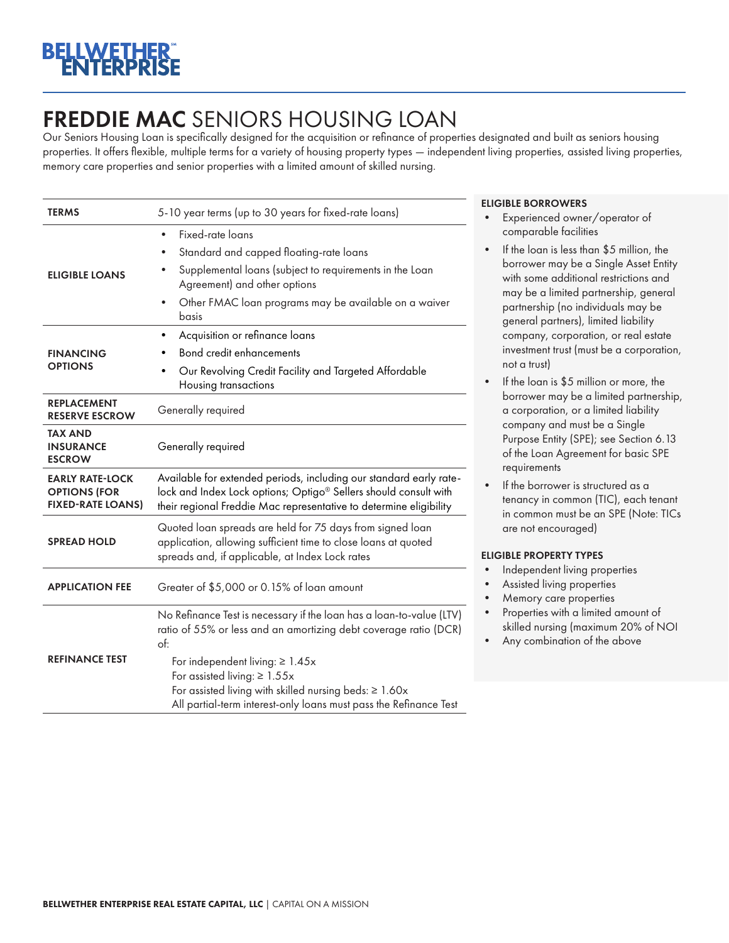## FREDDIE MAC SENIORS HOUSING LOAN

Our Seniors Housing Loan is specifically designed for the acquisition or refinance of properties designated and built as seniors housing properties. It offers flexible, multiple terms for a variety of housing property types — independent living properties, assisted living properties, memory care properties and senior properties with a limited amount of skilled nursing.

| <b>TERMS</b>                                                              | 5-10 year terms (up to 30 years for fixed-rate loans)                                                                                                                                                         |  |  |
|---------------------------------------------------------------------------|---------------------------------------------------------------------------------------------------------------------------------------------------------------------------------------------------------------|--|--|
| <b>ELIGIBLE LOANS</b>                                                     | Fixed-rate loans                                                                                                                                                                                              |  |  |
|                                                                           | Standard and capped floating-rate loans<br>Supplemental loans (subject to requirements in the Loan<br>Agreement) and other options                                                                            |  |  |
|                                                                           | Other FMAC loan programs may be available on a waiver<br>$\bullet$<br>basis                                                                                                                                   |  |  |
| <b>FINANCING</b><br><b>OPTIONS</b>                                        | Acquisition or refinance loans<br>٠                                                                                                                                                                           |  |  |
|                                                                           | <b>Bond credit enhancements</b>                                                                                                                                                                               |  |  |
|                                                                           | Our Revolving Credit Facility and Targeted Affordable<br>Housing transactions                                                                                                                                 |  |  |
| <b>REPLACEMENT</b><br><b>RESERVE ESCROW</b>                               | Generally required                                                                                                                                                                                            |  |  |
| TAX AND<br><b>INSURANCE</b><br><b>ESCROW</b>                              | Generally required                                                                                                                                                                                            |  |  |
| <b>EARLY RATE-LOCK</b><br><b>OPTIONS (FOR</b><br><b>FIXED-RATE LOANS)</b> | Available for extended periods, including our standard early rate-<br>lock and Index Lock options; Optigo® Sellers should consult with<br>their regional Freddie Mac representative to determine eligibility  |  |  |
| <b>SPREAD HOLD</b>                                                        | Quoted loan spreads are held for 75 days from signed loan<br>application, allowing sufficient time to close loans at quoted<br>spreads and, if applicable, at Index Lock rates                                |  |  |
| <b>APPLICATION FEE</b>                                                    | Greater of \$5,000 or 0.15% of loan amount                                                                                                                                                                    |  |  |
| <b>REFINANCE TEST</b>                                                     | No Refinance Test is necessary if the loan has a loan-to-value (LTV)<br>ratio of 55% or less and an amortizing debt coverage ratio (DCR)<br>of:                                                               |  |  |
|                                                                           | For independent living: $\geq 1.45x$<br>For assisted living: $\geq 1.55x$<br>For assisted living with skilled nursing beds: $\geq 1.60x$<br>All partial-term interest-only loans must pass the Refinance Test |  |  |

## ELIGIBLE BORROWERS

- Experienced owner/operator of comparable facilities
- If the loan is less than \$5 million, the borrower may be a Single Asset Entity with some additional restrictions and may be a limited partnership, general partnership (no individuals may be general partners), limited liability company, corporation, or real estate investment trust (must be a corporation, not a trust)
- If the loan is \$5 million or more, the borrower may be a limited partnership, a corporation, or a limited liability company and must be a Single Purpose Entity (SPE); see Section 6.13 of the Loan Agreement for basic SPE requirements
- If the borrower is structured as a tenancy in common (TIC), each tenant in common must be an SPE (Note: TICs are not encouraged)

## ELIGIBLE PROPERTY TYPES

- Independent living properties
- Assisted living properties
- Memory care properties
- Properties with a limited amount of skilled nursing (maximum 20% of NOI
- Any combination of the above